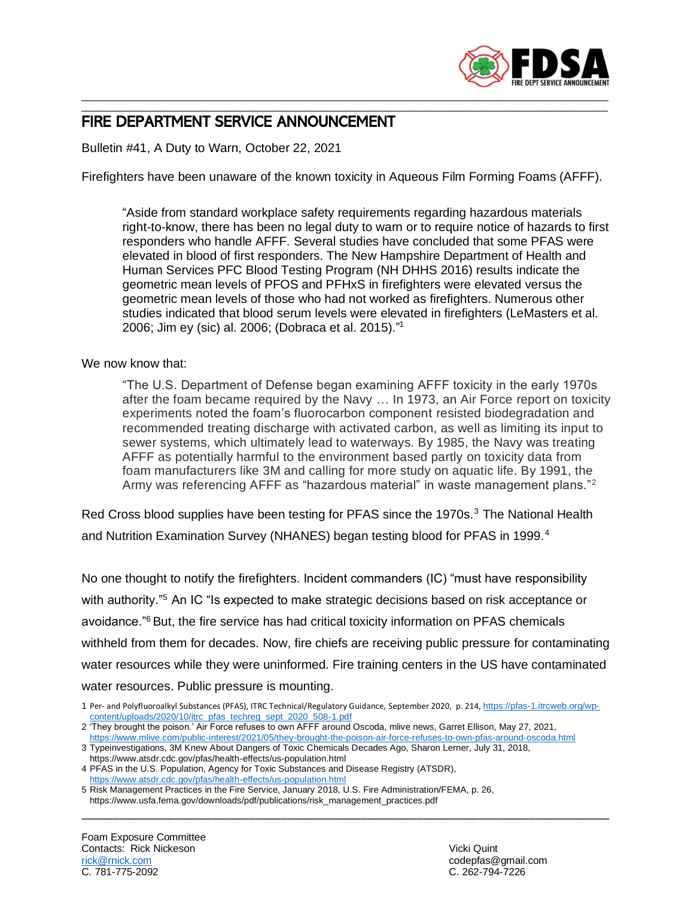

## \_\_\_\_\_\_\_\_\_\_\_\_\_\_\_\_\_\_\_\_\_\_\_\_\_\_\_\_\_\_\_\_\_\_\_\_\_\_\_\_\_\_\_\_\_\_\_\_\_\_\_\_\_\_\_\_\_\_\_\_\_\_\_\_\_\_\_\_\_\_\_\_\_\_\_\_\_\_\_\_\_\_\_\_\_\_\_\_\_\_\_\_\_\_\_\_\_\_\_\_\_\_\_\_\_\_\_\_\_\_\_\_\_\_\_\_ FIRE DEPARTMENT SERVICE ANNOUNCEMENT

Bulletin #41, A Duty to Warn, October 22, 2021

Firefighters have been unaware of the known toxicity in Aqueous Film Forming Foams (AFFF).

\_\_\_\_\_\_\_\_\_\_\_\_\_\_\_\_\_\_\_\_\_\_\_\_\_\_\_\_\_\_\_\_\_\_\_\_\_\_\_\_\_\_\_\_\_\_\_\_\_\_\_\_\_\_\_\_\_\_\_\_\_\_\_\_\_\_\_\_\_\_\_\_\_\_\_\_\_\_\_\_\_\_\_\_\_\_\_\_\_\_\_\_\_\_\_\_\_\_\_\_\_\_\_\_\_\_\_\_\_\_\_\_\_\_\_\_

"Aside from standard workplace safety requirements regarding hazardous materials right-to-know, there has been no legal duty to warn or to require notice of hazards to first responders who handle AFFF. Several studies have concluded that some PFAS were elevated in blood of first responders. The New Hampshire Department of Health and Human Services PFC Blood Testing Program (NH DHHS 2016) results indicate the geometric mean levels of PFOS and PFHxS in firefighters were elevated versus the geometric mean levels of those who had not worked as firefighters. Numerous other studies indicated that blood serum levels were elevated in firefighters (LeMasters et al. 2006; Jim ey (sic) al. 2006; (Dobraca et al. 2015)." 1

## We now know that:

"The U.S. Department of Defense began examining AFFF toxicity in the early 1970s after the foam became required by the Navy … In 1973, an Air Force report on toxicity experiments noted the foam's fluorocarbon component resisted biodegradation and recommended treating discharge with activated carbon, as well as limiting its input to sewer systems, which ultimately lead to waterways. By 1985, the Navy was treating AFFF as potentially harmful to the environment based partly on toxicity data from foam manufacturers like 3M and calling for more study on aquatic life. By 1991, the Army was referencing AFFF as "hazardous material" in waste management plans."<sup>2</sup>

Red Cross blood supplies have been testing for PFAS since the 1970s.<sup>3</sup> The National Health and Nutrition Examination Survey (NHANES) began testing blood for PFAS in 1999.<sup>4</sup>

No one thought to notify the firefighters. Incident commanders (IC) "must have responsibility with authority."<sup>5</sup> An IC "Is expected to make strategic decisions based on risk acceptance or avoidance."<sup>6</sup>But, the fire service has had critical toxicity information on PFAS chemicals withheld from them for decades. Now, fire chiefs are receiving public pressure for contaminating water resources while they were uninformed. Fire training centers in the US have contaminated water resources. Public pressure is mounting.

\_\_\_\_\_\_\_\_\_\_\_\_\_\_\_\_\_\_\_\_\_\_\_\_\_\_\_\_\_\_\_\_\_\_\_\_\_\_\_\_\_\_\_\_\_\_\_\_\_\_\_\_\_\_\_\_\_\_\_\_\_\_\_\_\_\_\_\_\_\_\_\_\_\_\_\_\_\_\_\_\_\_\_\_\_

<sup>1</sup> Per- and Polyfluoroalkyl Substances (PFAS), ITRC Technical/Regulatory Guidance, September 2020, p. 214, [https://pfas-1.itrcweb.org/wp](https://pfas-1.itrcweb.org/wp-content/uploads/2020/10/itrc_pfas_techreg_sept_2020_508-1.pdf)[content/uploads/2020/10/itrc\\_pfas\\_techreg\\_sept\\_2020\\_508-1.pdf](https://pfas-1.itrcweb.org/wp-content/uploads/2020/10/itrc_pfas_techreg_sept_2020_508-1.pdf)

<sup>2</sup> 'They brought the poison.' Air Force refuses to own AFFF around Oscoda, mlive news, Garret Ellison, May 27, 2021, <https://www.mlive.com/public-interest/2021/05/they-brought-the-poison-air-force-refuses-to-own-pfas-around-oscoda.html>

<sup>3</sup> Typeinvestigations, 3M Knew About Dangers of Toxic Chemicals Decades Ago, Sharon Lerner, July 31, 2018, https://www.atsdr.cdc.gov/pfas/health-effects/us-population.html

<sup>4</sup> PFAS in the U.S. Population, Agency for Toxic Substances and Disease Registry (ATSDR), <https://www.atsdr.cdc.gov/pfas/health-effects/us-population.html>

<sup>5</sup> Risk Management Practices in the Fire Service, January 2018, U.S. Fire Administration/FEMA, p. 26, https://www.usfa.fema.gov/downloads/pdf/publications/risk\_management\_practices.pdf